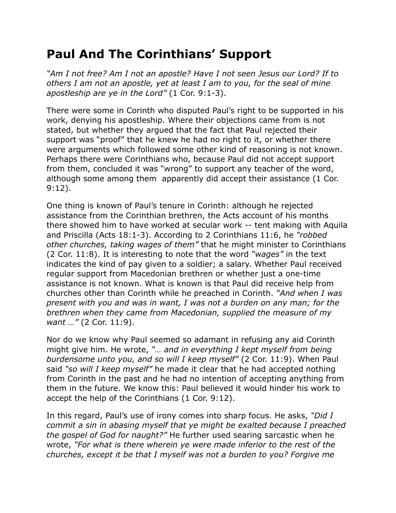## **Paul And The Corinthians' Support**

*"Am I not free? Am I not an apostle? Have I not seen Jesus our Lord? If to others I am not an apostle, yet at least I am to you, for the seal of mine apostleship are ye in the Lord"* (1 Cor. 9:1-3).

There were some in Corinth who disputed Paul's right to be supported in his work, denying his apostleship. Where their objections came from is not stated, but whether they argued that the fact that Paul rejected their support was "proof" that he knew he had no right to it, or whether there were arguments which followed some other kind of reasoning is not known. Perhaps there were Corinthians who, because Paul did not accept support from them, concluded it was "wrong" to support any teacher of the word, although some among them apparently did accept their assistance (1 Cor. 9:12).

One thing is known of Paul's tenure in Corinth: although he rejected assistance from the Corinthian brethren, the Acts account of his months there showed him to have worked at secular work -- tent making with Aquila and Priscilla (Acts 18:1-3). According to 2 Corinthians 11:6, he *"robbed other churches, taking wages of them"* that he might minister to Corinthians (2 Cor. 11:8). It is interesting to note that the word *"wages"* in the text indicates the kind of pay given to a soldier; a salary. Whether Paul received regular support from Macedonian brethren or whether just a one-time assistance is not known. What is known is that Paul did receive help from churches other than Corinth while he preached in Corinth. *"And when I was present with you and was in want, I was not a burden on any man; for the brethren when they came from Macedonian, supplied the measure of my want …"* (2 Cor. 11:9).

Nor do we know why Paul seemed so adamant in refusing any aid Corinth might give him. He wrote, *"… and in everything I kept myself from being burdensome unto you, and so will I keep myself"* (2 Cor. 11:9). When Paul said *"so will I keep myself"* he made it clear that he had accepted nothing from Corinth in the past and he had no intention of accepting anything from them in the future. We know this: Paul believed it would hinder his work to accept the help of the Corinthians (1 Cor. 9:12).

In this regard, Paul's use of irony comes into sharp focus. He asks, *"Did I commit a sin in abasing myself that ye might be exalted because I preached the gospel of God for naught?"* He further used searing sarcastic when he wrote, *"For what is there wherein ye were made inferior to the rest of the churches, except it be that I myself was not a burden to you? Forgive me*